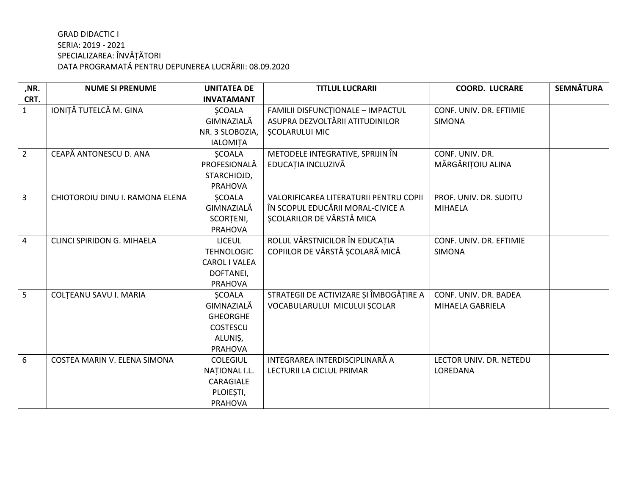| ,NR.           | <b>NUME SI PRENUME</b>          | <b>UNITATEA DE</b> | <b>TITLUL LUCRARII</b>                  | <b>COORD. LUCRARE</b>   | <b>SEMNÄTURA</b> |
|----------------|---------------------------------|--------------------|-----------------------------------------|-------------------------|------------------|
| CRT.           |                                 | <b>INVATAMANT</b>  |                                         |                         |                  |
| $\mathbf{1}$   | IONIȚĂ TUTELCĂ M. GINA          | <b>ŞCOALA</b>      | FAMILII DISFUNCȚIONALE - IMPACTUL       | CONF. UNIV. DR. EFTIMIE |                  |
|                |                                 | GIMNAZIALĂ         | ASUPRA DEZVOLTĂRII ATITUDINILOR         | <b>SIMONA</b>           |                  |
|                |                                 | NR. 3 SLOBOZIA,    | <b>SCOLARULUI MIC</b>                   |                         |                  |
|                |                                 | <b>IALOMITA</b>    |                                         |                         |                  |
| $\overline{2}$ | CEAPĂ ANTONESCU D. ANA          | <b>ŞCOALA</b>      | METODELE INTEGRATIVE, SPRIJIN ÎN        | CONF. UNIV. DR.         |                  |
|                |                                 | PROFESIONALĂ       | EDUCAȚIA INCLUZIVĂ                      | MĂRGĂRIȚOIU ALINA       |                  |
|                |                                 | STARCHIOJD,        |                                         |                         |                  |
|                |                                 | <b>PRAHOVA</b>     |                                         |                         |                  |
| $\overline{3}$ | CHIOTOROIU DINU I. RAMONA ELENA | <b>SCOALA</b>      | VALORIFICAREA LITERATURII PENTRU COPII  | PROF. UNIV. DR. SUDITU  |                  |
|                |                                 | GIMNAZIALĂ         | ÎN SCOPUL EDUCĂRII MORAL-CIVICE A       | <b>MIHAELA</b>          |                  |
|                |                                 | SCORTENI,          | ȘCOLARILOR DE VÂRSTĂ MICA               |                         |                  |
|                |                                 | <b>PRAHOVA</b>     |                                         |                         |                  |
| $\overline{4}$ | CLINCI SPIRIDON G. MIHAELA      | <b>LICEUL</b>      | ROLUL VÂRSTNICILOR ÎN EDUCAȚIA          | CONF. UNIV. DR. EFTIMIE |                  |
|                |                                 | <b>TEHNOLOGIC</b>  | COPIILOR DE VÂRSTĂ ȘCOLARĂ MICĂ         | <b>SIMONA</b>           |                  |
|                |                                 | CAROL I VALEA      |                                         |                         |                  |
|                |                                 | DOFTANEI,          |                                         |                         |                  |
|                |                                 | <b>PRAHOVA</b>     |                                         |                         |                  |
| 5              | COLȚEANU SAVU I. MARIA          | <b>ŞCOALA</b>      | STRATEGII DE ACTIVIZARE ȘI ÎMBOGĂȚIRE A | CONF. UNIV. DR. BADEA   |                  |
|                |                                 | GIMNAZIALĂ         | VOCABULARULUI MICULUI ȘCOLAR            | MIHAELA GABRIELA        |                  |
|                |                                 | <b>GHEORGHE</b>    |                                         |                         |                  |
|                |                                 | COSTESCU           |                                         |                         |                  |
|                |                                 | ALUNIȘ,            |                                         |                         |                  |
|                |                                 | <b>PRAHOVA</b>     |                                         |                         |                  |
| 6              | COSTEA MARIN V. ELENA SIMONA    | <b>COLEGIUL</b>    | INTEGRAREA INTERDISCIPLINARĂ A          | LECTOR UNIV. DR. NETEDU |                  |
|                |                                 | NATIONAL I.L.      | LECTURII LA CICLUL PRIMAR               | LOREDANA                |                  |
|                |                                 | CARAGIALE          |                                         |                         |                  |
|                |                                 | PLOIEȘTI,          |                                         |                         |                  |
|                |                                 | <b>PRAHOVA</b>     |                                         |                         |                  |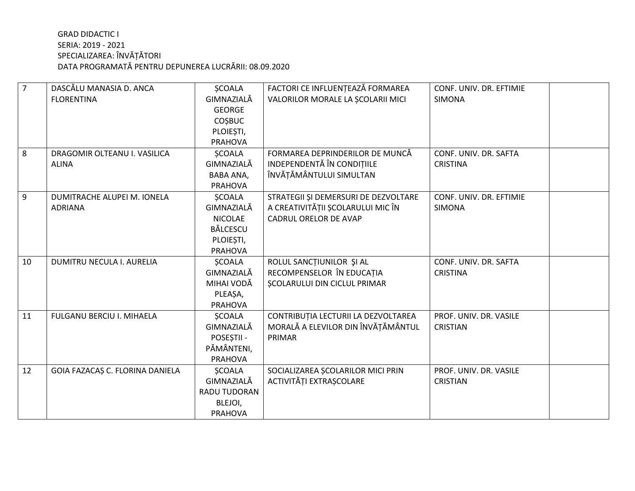| $\overline{7}$ | DASCĂLU MANASIA D. ANCA         | <b>SCOALA</b>    | FACTORI CE INFLUENȚEAZĂ FORMAREA     | CONF. UNIV. DR. EFTIMIE |
|----------------|---------------------------------|------------------|--------------------------------------|-------------------------|
|                | <b>FLORENTINA</b>               | GIMNAZIALĂ       | VALORILOR MORALE LA SCOLARII MICI    | <b>SIMONA</b>           |
|                |                                 | <b>GEORGE</b>    |                                      |                         |
|                |                                 | <b>COSBUC</b>    |                                      |                         |
|                |                                 | PLOIEȘTI,        |                                      |                         |
|                |                                 | <b>PRAHOVA</b>   |                                      |                         |
| 8              | DRAGOMIR OLTEANU I. VASILICA    | <b>ŞCOALA</b>    | FORMAREA DEPRINDERILOR DE MUNCĂ      | CONF. UNIV. DR. SAFTA   |
|                | <b>ALINA</b>                    | GIMNAZIALĂ       | INDEPENDENTĂ ÎN CONDIȚIILE           | <b>CRISTINA</b>         |
|                |                                 | <b>BABA ANA,</b> | ÎNVĂȚĂMÂNTULUI SIMULTAN              |                         |
|                |                                 | <b>PRAHOVA</b>   |                                      |                         |
| 9              | DUMITRACHE ALUPEI M. IONELA     | <b>SCOALA</b>    | STRATEGII ȘI DEMERSURI DE DEZVOLTARE | CONF. UNIV. DR. EFTIMIE |
|                | <b>ADRIANA</b>                  | GIMNAZIALĂ       | A CREATIVITĂȚII ȘCOLARULUI MIC ÎN    | <b>SIMONA</b>           |
|                |                                 | <b>NICOLAE</b>   | <b>CADRUL ORELOR DE AVAP</b>         |                         |
|                |                                 | <b>BĂLCESCU</b>  |                                      |                         |
|                |                                 | PLOIEȘTI,        |                                      |                         |
|                |                                 | <b>PRAHOVA</b>   |                                      |                         |
| 10             | DUMITRU NECULA I. AURELIA       | <b>SCOALA</b>    | ROLUL SANCȚIUNILOR ȘI AL             | CONF. UNIV. DR. SAFTA   |
|                |                                 | GIMNAZIALĂ       | RECOMPENSELOR ÎN EDUCAȚIA            | <b>CRISTINA</b>         |
|                |                                 | MIHAI VODĂ       | <b>SCOLARULUI DIN CICLUL PRIMAR</b>  |                         |
|                |                                 | PLEAŞA,          |                                      |                         |
|                |                                 | <b>PRAHOVA</b>   |                                      |                         |
| 11             | FULGANU BERCIU I. MIHAELA       | <b>ŞCOALA</b>    | CONTRIBUȚIA LECTURII LA DEZVOLTAREA  | PROF. UNIV. DR. VASILE  |
|                |                                 | GIMNAZIALĂ       | MORALĂ A ELEVILOR DIN ÎNVĂȚĂMÂNTUL   | <b>CRISTIAN</b>         |
|                |                                 | POSEȘTII -       | PRIMAR                               |                         |
|                |                                 | PĂMÂNTENI,       |                                      |                         |
|                |                                 | <b>PRAHOVA</b>   |                                      |                         |
| 12             | GOIA FAZACAȘ C. FLORINA DANIELA | <b>ŞCOALA</b>    | SOCIALIZAREA ȘCOLARILOR MICI PRIN    | PROF. UNIV. DR. VASILE  |
|                |                                 | GIMNAZIALĂ       | ACTIVITĂȚI EXTRAȘCOLARE              | <b>CRISTIAN</b>         |
|                |                                 | RADU TUDORAN     |                                      |                         |
|                |                                 | BLEJOI,          |                                      |                         |
|                |                                 | <b>PRAHOVA</b>   |                                      |                         |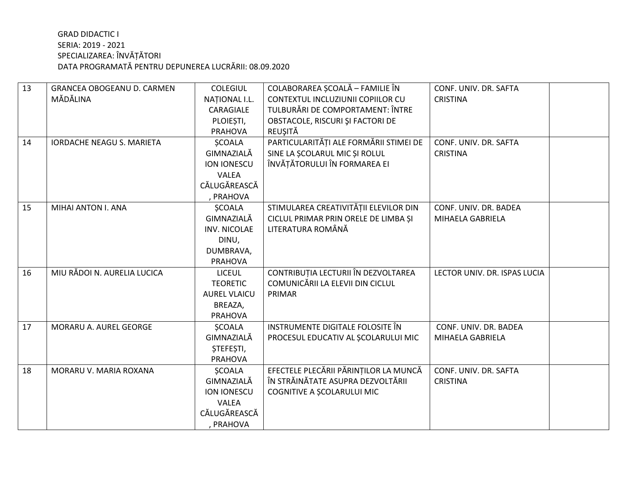| 13 | <b>GRANCEA OBOGEANU D. CARMEN</b> | <b>COLEGIUL</b>      | COLABORAREA SCOALĂ - FAMILIE ÎN        | CONF. UNIV. DR. SAFTA        |  |
|----|-----------------------------------|----------------------|----------------------------------------|------------------------------|--|
|    | MĂDĂLINA                          | <b>NATIONAL I.L.</b> | CONTEXTUL INCLUZIUNII COPIILOR CU      | <b>CRISTINA</b>              |  |
|    |                                   | CARAGIALE            | TULBURĂRI DE COMPORTAMENT: ÎNTRE       |                              |  |
|    |                                   | PLOIEȘTI,            | OBSTACOLE, RISCURI ȘI FACTORI DE       |                              |  |
|    |                                   | <b>PRAHOVA</b>       | REUȘITĂ                                |                              |  |
| 14 | <b>IORDACHE NEAGU S. MARIETA</b>  | <b>SCOALA</b>        | PARTICULARITĂȚI ALE FORMĂRII STIMEI DE | CONF. UNIV. DR. SAFTA        |  |
|    |                                   | GIMNAZIALĂ           | SINE LA SCOLARUL MIC ȘI ROLUL          | <b>CRISTINA</b>              |  |
|    |                                   | ION IONESCU          | ÎNVĂȚĂTORULUI ÎN FORMAREA EI           |                              |  |
|    |                                   | <b>VALEA</b>         |                                        |                              |  |
|    |                                   | CĂLUGĂREASCĂ         |                                        |                              |  |
|    |                                   | , PRAHOVA            |                                        |                              |  |
| 15 | MIHAI ANTON I. ANA                | <b>SCOALA</b>        | STIMULAREA CREATIVITĂȚII ELEVILOR DIN  | CONF. UNIV. DR. BADEA        |  |
|    |                                   | GIMNAZIALĂ           | CICLUL PRIMAR PRIN ORELE DE LIMBA ȘI   | MIHAELA GABRIELA             |  |
|    |                                   | <b>INV. NICOLAE</b>  | LITERATURA ROMÂNĂ                      |                              |  |
|    |                                   | DINU,                |                                        |                              |  |
|    |                                   | DUMBRAVA,            |                                        |                              |  |
|    |                                   | PRAHOVA              |                                        |                              |  |
| 16 | MIU RĂDOI N. AURELIA LUCICA       | <b>LICEUL</b>        | CONTRIBUȚIA LECTURII ÎN DEZVOLTAREA    | LECTOR UNIV. DR. ISPAS LUCIA |  |
|    |                                   | <b>TEORETIC</b>      | COMUNICĂRII LA ELEVII DIN CICLUL       |                              |  |
|    |                                   | <b>AUREL VLAICU</b>  | PRIMAR                                 |                              |  |
|    |                                   | BREAZA,              |                                        |                              |  |
|    |                                   | <b>PRAHOVA</b>       |                                        |                              |  |
| 17 | MORARU A. AUREL GEORGE            | <b>ŞCOALA</b>        | INSTRUMENTE DIGITALE FOLOSITE ÎN       | CONF. UNIV. DR. BADEA        |  |
|    |                                   | GIMNAZIALĂ           | PROCESUL EDUCATIV AL SCOLARULUI MIC    | MIHAELA GABRIELA             |  |
|    |                                   | <b>STEFESTI,</b>     |                                        |                              |  |
|    |                                   | <b>PRAHOVA</b>       |                                        |                              |  |
| 18 | MORARU V. MARIA ROXANA            | <b>SCOALA</b>        | EFECTELE PLECĂRII PĂRINȚILOR LA MUNCĂ  | CONF. UNIV. DR. SAFTA        |  |
|    |                                   | GIMNAZIALĂ           | ÎN STRĂINĂTATE ASUPRA DEZVOLTĂRII      | <b>CRISTINA</b>              |  |
|    |                                   | ION IONESCU          | COGNITIVE A SCOLARULUI MIC             |                              |  |
|    |                                   | <b>VALEA</b>         |                                        |                              |  |
|    |                                   | CĂLUGĂREASCĂ         |                                        |                              |  |
|    |                                   | , PRAHOVA            |                                        |                              |  |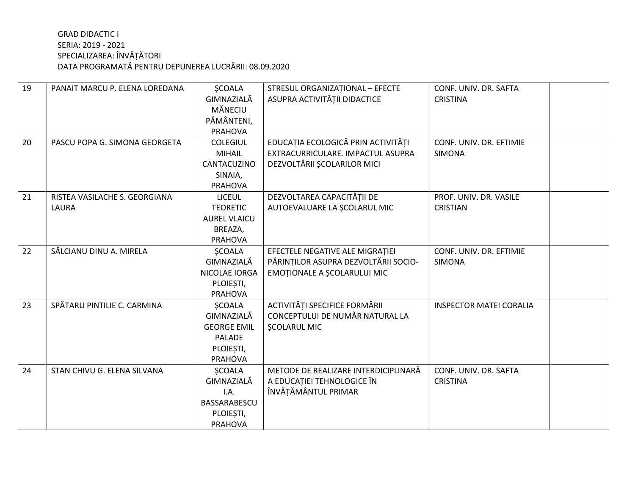| 19 | PANAIT MARCU P. ELENA LOREDANA | <b>SCOALA</b>       | STRESUL ORGANIZAȚIONAL - EFECTE      | CONF. UNIV. DR. SAFTA          |
|----|--------------------------------|---------------------|--------------------------------------|--------------------------------|
|    |                                | GIMNAZIALĂ          | ASUPRA ACTIVITĂȚII DIDACTICE         | <b>CRISTINA</b>                |
|    |                                | MĂNECIU             |                                      |                                |
|    |                                | PĂMÂNTENI,          |                                      |                                |
|    |                                | <b>PRAHOVA</b>      |                                      |                                |
| 20 | PASCU POPA G. SIMONA GEORGETA  | <b>COLEGIUL</b>     | EDUCAȚIA ECOLOGICĂ PRIN ACTIVITĂȚI   | CONF. UNIV. DR. EFTIMIE        |
|    |                                | <b>MIHAIL</b>       | EXTRACURRICULARE. IMPACTUL ASUPRA    | <b>SIMONA</b>                  |
|    |                                | CANTACUZINO         | DEZVOLTĂRII ȘCOLARILOR MICI          |                                |
|    |                                | SINAIA,             |                                      |                                |
|    |                                | <b>PRAHOVA</b>      |                                      |                                |
| 21 | RISTEA VASILACHE S. GEORGIANA  | <b>LICEUL</b>       | DEZVOLTAREA CAPACITĂȚII DE           | PROF. UNIV. DR. VASILE         |
|    | LAURA                          | <b>TEORETIC</b>     | AUTOEVALUARE LA SCOLARUL MIC         | <b>CRISTIAN</b>                |
|    |                                | <b>AUREL VLAICU</b> |                                      |                                |
|    |                                | BREAZA,             |                                      |                                |
|    |                                | <b>PRAHOVA</b>      |                                      |                                |
| 22 | SĂLCIANU DINU A. MIRELA        | <b>ŞCOALA</b>       | EFECTELE NEGATIVE ALE MIGRATIEI      | CONF. UNIV. DR. EFTIMIE        |
|    |                                | GIMNAZIALĂ          | PĂRINȚILOR ASUPRA DEZVOLTĂRII SOCIO- | <b>SIMONA</b>                  |
|    |                                | NICOLAE IORGA       | EMOȚIONALE A ȘCOLARULUI MIC          |                                |
|    |                                | PLOIEȘTI,           |                                      |                                |
|    |                                | <b>PRAHOVA</b>      |                                      |                                |
| 23 | SPĂTARU PINTILIE C. CARMINA    | <b>ŞCOALA</b>       | ACTIVITĂȚI SPECIFICE FORMĂRII        | <b>INSPECTOR MATEI CORALIA</b> |
|    |                                | GIMNAZIALĂ          | CONCEPTULUI DE NUMĂR NATURAL LA      |                                |
|    |                                | <b>GEORGE EMIL</b>  | <b>ȘCOLARUL MIC</b>                  |                                |
|    |                                | PALADE              |                                      |                                |
|    |                                | PLOIEȘTI,           |                                      |                                |
|    |                                | <b>PRAHOVA</b>      |                                      |                                |
| 24 | STAN CHIVU G. ELENA SILVANA    | <b>SCOALA</b>       | METODE DE REALIZARE INTERDICIPLINARĂ | CONF. UNIV. DR. SAFTA          |
|    |                                | GIMNAZIALĂ          | A EDUCAȚIEI TEHNOLOGICE ÎN           | <b>CRISTINA</b>                |
|    |                                | I.A.                | ÎNVĂȚĂMÂNTUL PRIMAR                  |                                |
|    |                                | BASSARABESCU        |                                      |                                |
|    |                                | PLOIEȘTI,           |                                      |                                |
|    |                                | <b>PRAHOVA</b>      |                                      |                                |